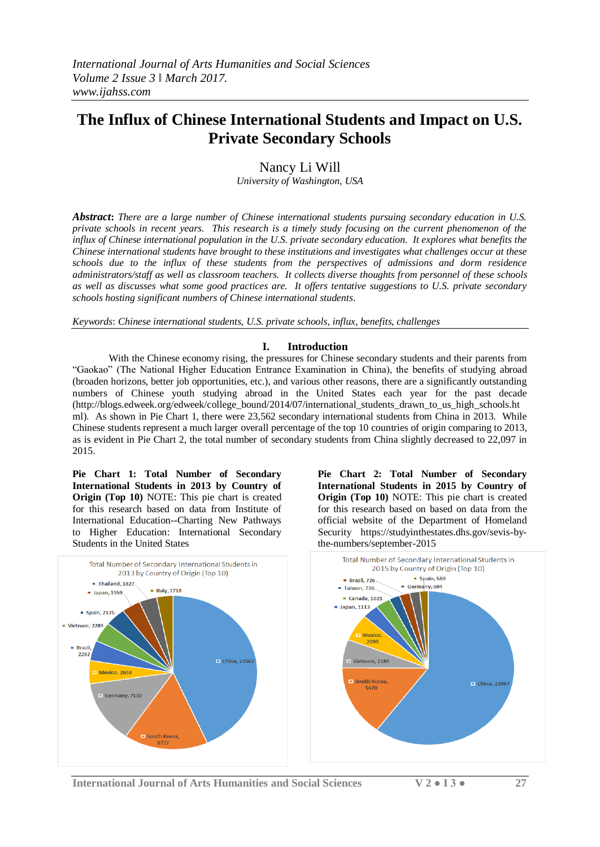# **The Influx of Chinese International Students and Impact on U.S. Private Secondary Schools**

Nancy Li Will

*University of Washington, USA*

*Abstract***:** *There are a large number of Chinese international students pursuing secondary education in U.S. private schools in recent years. This research is a timely study focusing on the current phenomenon of the influx of Chinese international population in the U.S. private secondary education. It explores what benefits the Chinese international students have brought to these institutions and investigates what challenges occur at these schools due to the influx of these students from the perspectives of admissions and dorm residence administrators/staff as well as classroom teachers. It collects diverse thoughts from personnel of these schools as well as discusses what some good practices are. It offers tentative suggestions to U.S. private secondary schools hosting significant numbers of Chinese international students*.

*Keywords*: *Chinese international students, U.S. private schools, influx, benefits, challenges*

## **I. Introduction**

With the Chinese economy rising, the pressures for Chinese secondary students and their parents from "Gaokao" (The National Higher Education Entrance Examination in China), the benefits of studying abroad (broaden horizons, better job opportunities, etc.), and various other reasons, there are a significantly outstanding numbers of Chinese youth studying abroad in the United States each year for the past decade (http://blogs.edweek.org/edweek/college\_bound/2014/07/international\_students\_drawn\_to\_us\_high\_schools.ht ml). As shown in Pie Chart 1, there were 23,562 secondary international students from China in 2013. While Chinese students represent a much larger overall percentage of the top 10 countries of origin comparing to 2013, as is evident in Pie Chart 2, the total number of secondary students from China slightly decreased to 22,097 in 2015.

**Pie Chart 1: Total Number of Secondary International Students in 2013 by Country of Origin (Top 10)** NOTE: This pie chart is created for this research based on data from Institute of International Education--Charting New Pathways to Higher Education: International Secondary Students in the United States





**International Journal of Arts Humanities and Social Sciences V 2 ● I 3 ● 27**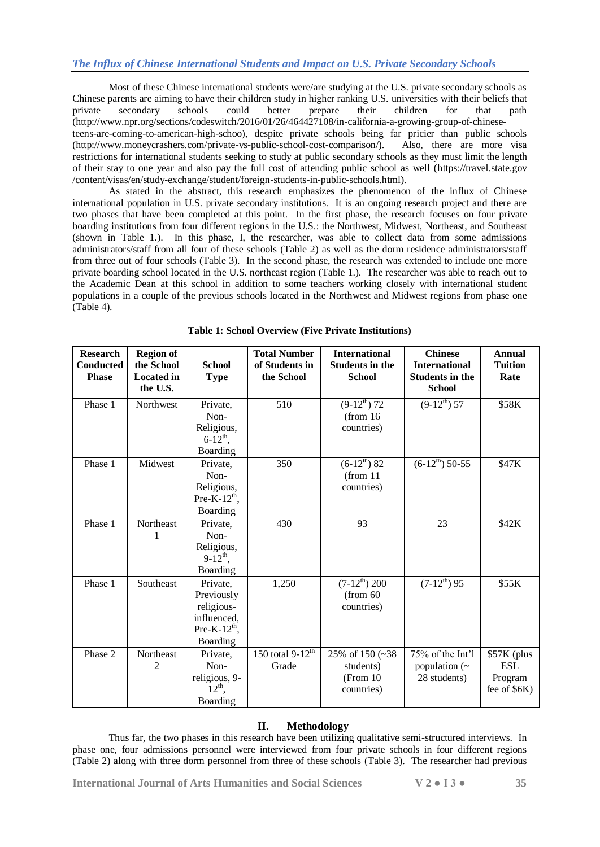Most of these Chinese international students were/are studying at the U.S. private secondary schools as Chinese parents are aiming to have their children study in higher ranking U.S. universities with their beliefs that private secondary schools could better prepare their children for that path private secondary schools could better prepare their children for that path (http://www.npr.org/sections/codeswitch/2016/01/26/464427108/in-california-a-growing-group-of-chineseteens-are-coming-to-american-high-schoo), despite private schools being far pricier than public schools (http://www.moneycrashers.com/private-vs-public-school-cost-comparison/). Also, there are more visa restrictions for international students seeking to study at public secondary schools as they must limit the length of their stay to one year and also pay the full cost of attending public school as well (https://travel.state.gov /content/visas/en/study-exchange/student/foreign-students-in-public-schools.html).

As stated in the abstract, this research emphasizes the phenomenon of the influx of Chinese international population in U.S. private secondary institutions. It is an ongoing research project and there are two phases that have been completed at this point. In the first phase, the research focuses on four private boarding institutions from four different regions in the U.S.: the Northwest, Midwest, Northeast, and Southeast (shown in Table 1.). In this phase, I, the researcher, was able to collect data from some admissions administrators/staff from all four of these schools (Table 2) as well as the dorm residence administrators/staff from three out of four schools (Table 3). In the second phase, the research was extended to include one more private boarding school located in the U.S. northeast region (Table 1.). The researcher was able to reach out to the Academic Dean at this school in addition to some teachers working closely with international student populations in a couple of the previous schools located in the Northwest and Midwest regions from phase one (Table 4).

| <b>Research</b><br><b>Conducted</b><br><b>Phase</b> | <b>Region of</b><br>the School<br><b>Located in</b><br>the U.S. | <b>School</b><br><b>Type</b>                                                          | <b>Total Number</b><br>of Students in<br>the School | <b>International</b><br><b>Students in the</b><br><b>School</b> | <b>Chinese</b><br><b>International</b><br><b>Students in the</b><br><b>School</b> | <b>Annual</b><br><b>Tuition</b><br>Rate              |
|-----------------------------------------------------|-----------------------------------------------------------------|---------------------------------------------------------------------------------------|-----------------------------------------------------|-----------------------------------------------------------------|-----------------------------------------------------------------------------------|------------------------------------------------------|
| Phase 1                                             | Northwest                                                       | Private,<br>Non-<br>Religious,<br>$6 - 12^{th}$ ,<br>Boarding                         | 510                                                 | $(9-12^{th})$ 72<br>(from 16<br>countries)                      | $(9-12^{th})$ 57                                                                  | \$58K                                                |
| Phase 1                                             | Midwest                                                         | Private,<br>Non-<br>Religious,<br>Pre-K- $12^{th}$ ,<br>Boarding                      | 350                                                 | $(6-12^{th})$ 82<br>(from 11)<br>countries)                     | $(6-12^{th})$ 50-55                                                               | \$47K                                                |
| Phase 1                                             | Northeast                                                       | Private,<br>Non-<br>Religious,<br>$9-12^{th}$ ,<br>Boarding                           | 430                                                 | 93                                                              | 23                                                                                | \$42K                                                |
| Phase 1                                             | Southeast                                                       | Private,<br>Previously<br>religious-<br>influenced,<br>Pre-K- $12^{th}$ ,<br>Boarding | 1,250                                               | $(7-12^{th})$ 200<br>(from 60<br>countries)                     | $(7-12^{\overline{th}})$ 95                                                       | \$55K                                                |
| Phase 2                                             | Northeast<br>2                                                  | Private,<br>Non-<br>religious, 9-<br>$12^{th}$ ,<br>Boarding                          | 150 total $9-12^{\text{th}}$<br>Grade               | 25% of 150 $(-38)$<br>students)<br>(From 10)<br>countries)      | 75% of the Int'l<br>population $(\sim$<br>28 students)                            | \$57K (plus<br><b>ESL</b><br>Program<br>fee of \$6K) |

**Table 1: School Overview (Five Private Institutions)**

## **II. Methodology**

Thus far, the two phases in this research have been utilizing qualitative semi-structured interviews. In phase one, four admissions personnel were interviewed from four private schools in four different regions (Table 2) along with three dorm personnel from three of these schools (Table 3). The researcher had previous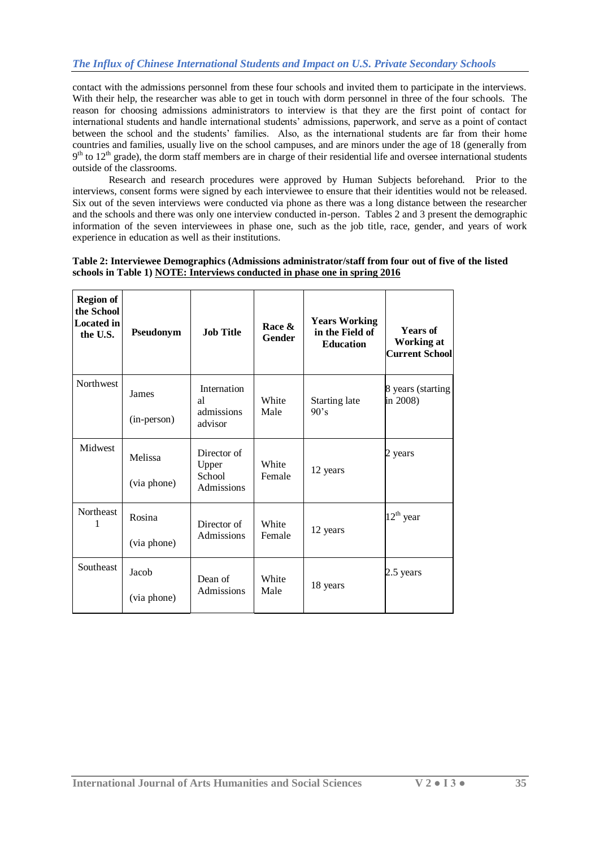# *The Influx of Chinese International Students and Impact on U.S. Private Secondary Schools*

contact with the admissions personnel from these four schools and invited them to participate in the interviews. With their help, the researcher was able to get in touch with dorm personnel in three of the four schools. The reason for choosing admissions administrators to interview is that they are the first point of contact for international students and handle international students' admissions, paperwork, and serve as a point of contact between the school and the students' families. Also, as the international students are far from their home countries and families, usually live on the school campuses, and are minors under the age of 18 (generally from  $9<sup>th</sup>$  to  $12<sup>th</sup>$  grade), the dorm staff members are in charge of their residential life and oversee international students outside of the classrooms.

Research and research procedures were approved by Human Subjects beforehand. Prior to the interviews, consent forms were signed by each interviewee to ensure that their identities would not be released. Six out of the seven interviews were conducted via phone as there was a long distance between the researcher and the schools and there was only one interview conducted in-person. Tables 2 and 3 present the demographic information of the seven interviewees in phase one, such as the job title, race, gender, and years of work experience in education as well as their institutions.

#### **Table 2: Interviewee Demographics (Admissions administrator/staff from four out of five of the listed schools in Table 1) NOTE: Interviews conducted in phase one in spring 2016**

| <b>Region of</b><br>the School<br><b>Located</b> in<br>the U.S. | Pseudonym              | <b>Job Title</b>                             | Race &<br><b>Gender</b> | <b>Years Working</b><br>in the Field of<br><b>Education</b> | <b>Years of</b><br><b>Working at</b><br><b>Current School</b> |
|-----------------------------------------------------------------|------------------------|----------------------------------------------|-------------------------|-------------------------------------------------------------|---------------------------------------------------------------|
| Northwest                                                       | James<br>(in-person)   | Internation<br>al<br>admissions<br>advisor   | White<br>Male           | <b>Starting late</b><br>90's                                | 8 years (starting<br>in 2008)                                 |
| Midwest                                                         | Melissa<br>(via phone) | Director of<br>Upper<br>School<br>Admissions | White<br>Female         | 12 years                                                    | 2 years                                                       |
| Northeast                                                       | Rosina<br>(via phone)  | Director of<br>Admissions                    | White<br>Female         | 12 years                                                    | $12^{\text{th}}$ year                                         |
| Southeast                                                       | Jacob<br>(via phone)   | Dean of<br>Admissions                        | White<br>Male           | 18 years                                                    | 2.5 years                                                     |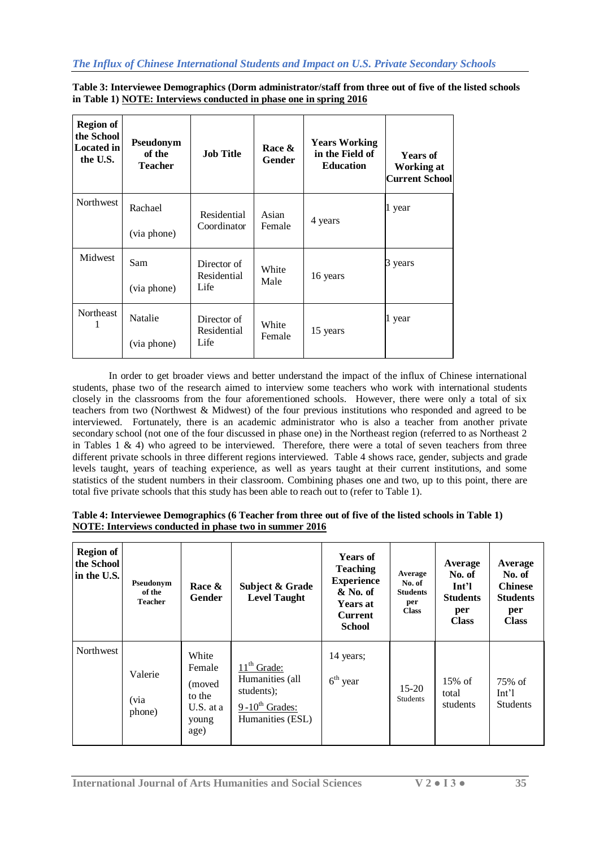**Table 3: Interviewee Demographics (Dorm administrator/staff from three out of five of the listed schools in Table 1) NOTE: Interviews conducted in phase one in spring 2016**

| <b>Region of</b><br>the School<br><b>Located</b> in<br>the U.S. | Pseudonym<br>of the<br><b>Teacher</b> | <b>Job Title</b>                   | Race &<br>Gender | <b>Years Working</b><br>in the Field of<br><b>Education</b> | <b>Years of</b><br>Working at<br><b>Current School</b> |
|-----------------------------------------------------------------|---------------------------------------|------------------------------------|------------------|-------------------------------------------------------------|--------------------------------------------------------|
| Northwest                                                       | Rachael<br>(via phone)                | Residential<br>Coordinator         | Asian<br>Female  | 4 years                                                     | 1 year                                                 |
| Midwest                                                         | Sam<br>(via phone)                    | Director of<br>Residential<br>Life | White<br>Male    | 16 years                                                    | 3 years                                                |
| Northeast                                                       | Natalie<br>(via phone)                | Director of<br>Residential<br>Life | White<br>Female  | 15 years                                                    | 1 year                                                 |

In order to get broader views and better understand the impact of the influx of Chinese international students, phase two of the research aimed to interview some teachers who work with international students closely in the classrooms from the four aforementioned schools. However, there were only a total of six teachers from two (Northwest & Midwest) of the four previous institutions who responded and agreed to be interviewed. Fortunately, there is an academic administrator who is also a teacher from another private secondary school (not one of the four discussed in phase one) in the Northeast region (referred to as Northeast 2 in Tables 1  $\&$  4) who agreed to be interviewed. Therefore, there were a total of seven teachers from three different private schools in three different regions interviewed. Table 4 shows race, gender, subjects and grade levels taught, years of teaching experience, as well as years taught at their current institutions, and some statistics of the student numbers in their classroom. Combining phases one and two, up to this point, there are total five private schools that this study has been able to reach out to (refer to Table 1).

| Table 4: Interviewee Demographics (6 Teacher from three out of five of the listed schools in Table 1) |  |
|-------------------------------------------------------------------------------------------------------|--|
| NOTE: Interviews conducted in phase two in summer 2016                                                |  |

| <b>Region of</b><br>the School<br>in the U.S. | Pseudonym<br>of the<br><b>Teacher</b> | Race &<br><b>Gender</b>                                           | Subject & Grade<br><b>Level Taught</b>                                                    | <b>Years of</b><br><b>Teaching</b><br><b>Experience</b><br>& No. of<br><b>Years at</b><br><b>Current</b><br><b>School</b> | Average<br>No. of<br><b>Students</b><br>per<br><b>Class</b> | Average<br>No. of<br>Int'l<br><b>Students</b><br>per<br><b>Class</b> | Average<br>No. of<br><b>Chinese</b><br><b>Students</b><br>per<br><b>Class</b> |
|-----------------------------------------------|---------------------------------------|-------------------------------------------------------------------|-------------------------------------------------------------------------------------------|---------------------------------------------------------------------------------------------------------------------------|-------------------------------------------------------------|----------------------------------------------------------------------|-------------------------------------------------------------------------------|
| Northwest                                     | Valerie<br>(via<br>phone)             | White<br>Female<br>(moved<br>to the<br>U.S. at a<br>young<br>age) | $11th$ Grade:<br>Humanities (all<br>students);<br>$9-10^{th}$ Grades:<br>Humanities (ESL) | 14 years;<br>$6th$ year                                                                                                   | $15 - 20$<br><b>Students</b>                                | $15%$ of<br>total<br>students                                        | 75% of<br>Int <sup>1</sup><br><b>Students</b>                                 |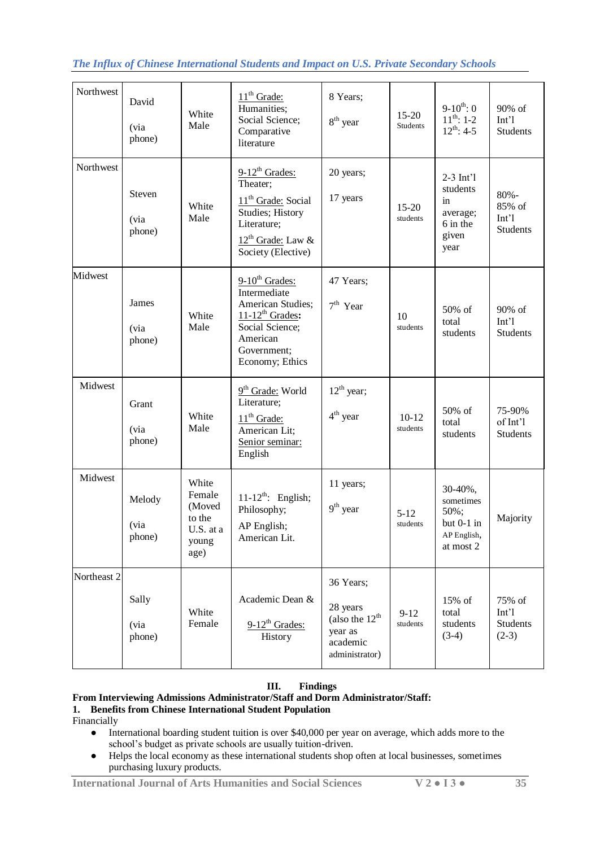# *The Influx of Chinese International Students and Impact on U.S. Private Secondary Schools*

| Northwest   | David<br>(via<br>phone)  | White<br>Male                                                     | $11th$ Grade:<br>Humanities;<br>Social Science;<br>Comparative<br>literature                                                                         | 8 Years;<br>$8th$ year                                                                | $15 - 20$<br><b>Students</b> | $9-10^{th}$ : 0<br>$11^{th}$ : 1-2<br>$12^{th}$ : 4-5                  | 90% of<br>Int'l<br><b>Students</b>            |
|-------------|--------------------------|-------------------------------------------------------------------|------------------------------------------------------------------------------------------------------------------------------------------------------|---------------------------------------------------------------------------------------|------------------------------|------------------------------------------------------------------------|-----------------------------------------------|
| Northwest   | Steven<br>(via<br>phone) | White<br>Male                                                     | $9-12^{th}$ Grades:<br>Theater;<br>11 <sup>th</sup> Grade: Social<br>Studies; History<br>Literature;<br>$12^{th}$ Grade: Law &<br>Society (Elective) | 20 years;<br>17 years                                                                 | $15 - 20$<br>students        | $2-3$ Int'l<br>students<br>in<br>average;<br>6 in the<br>given<br>year | $80% -$<br>85% of<br>Int'l<br><b>Students</b> |
| Midwest     | James<br>(via<br>phone)  | White<br>Male                                                     | $9-10^{th}$ Grades:<br>Intermediate<br>American Studies;<br>$11-12^{th}$ Grades:<br>Social Science;<br>American<br>Government;<br>Economy; Ethics    | 47 Years;<br>$7th$ Year                                                               | 10<br>students               | 50% of<br>total<br>students                                            | 90% of<br>Int'l<br><b>Students</b>            |
| Midwest     | Grant<br>(via<br>phone)  | White<br>Male                                                     | 9 <sup>th</sup> Grade: World<br>Literature;<br>$11th$ Grade:<br>American Lit;<br>Senior seminar:<br>English                                          | $12^{th}$ year;<br>$4th$ year                                                         | $10-12$<br>students          | 50% of<br>total<br>students                                            | 75-90%<br>of Int'l<br><b>Students</b>         |
| Midwest     | Melody<br>(via<br>phone) | White<br>Female<br>(Moved<br>to the<br>U.S. at a<br>young<br>age) | $11-12^{th}$ : English;<br>Philosophy;<br>AP English;<br>American Lit.                                                                               | 11 years;<br>$9th$ year                                                               | $5 - 12$<br>students         | 30-40%,<br>sometimes<br>50%;<br>but 0-1 in<br>AP English,<br>at most 2 | Majority                                      |
| Northeast 2 | Sally<br>(via<br>phone)  | White<br>Female                                                   | Academic Dean &<br>$9-12^{th}$ Grades:<br>History                                                                                                    | 36 Years;<br>28 years<br>(also the $12^{th}$<br>year as<br>academic<br>administrator) | $9 - 12$<br>students         | 15% of<br>total<br>students<br>$(3-4)$                                 | 75% of<br>Int'l<br>Students<br>$(2-3)$        |

# **III. Findings**

## **From Interviewing Admissions Administrator/Staff and Dorm Administrator/Staff: 1. Benefits from Chinese International Student Population**

- Financially
	- International boarding student tuition is over \$40,000 per year on average, which adds more to the school's budget as private schools are usually tuition-driven.
	- Helps the local economy as these international students shop often at local businesses, sometimes purchasing luxury products.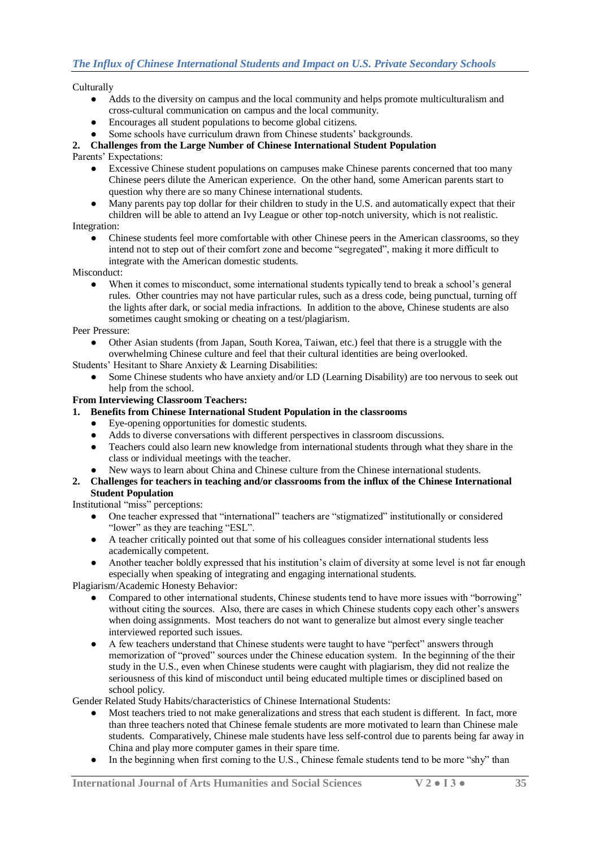Culturally

- Adds to the diversity on campus and the local community and helps promote multiculturalism and cross-cultural communication on campus and the local community.
- Encourages all student populations to become global citizens.
- Some schools have curriculum drawn from Chinese students' backgrounds.

# **2. Challenges from the Large Number of Chinese International Student Population**

Parents' Expectations:

- Excessive Chinese student populations on campuses make Chinese parents concerned that too many Chinese peers dilute the American experience. On the other hand, some American parents start to question why there are so many Chinese international students.
- Many parents pay top dollar for their children to study in the U.S. and automatically expect that their children will be able to attend an Ivy League or other top-notch university, which is not realistic.

Integration:

Chinese students feel more comfortable with other Chinese peers in the American classrooms, so they intend not to step out of their comfort zone and become "segregated", making it more difficult to integrate with the American domestic students.

Misconduct:

When it comes to misconduct, some international students typically tend to break a school's general rules. Other countries may not have particular rules, such as a dress code, being punctual, turning off the lights after dark, or social media infractions. In addition to the above, Chinese students are also sometimes caught smoking or cheating on a test/plagiarism.

Peer Pressure:

Other Asian students (from Japan, South Korea, Taiwan, etc.) feel that there is a struggle with the overwhelming Chinese culture and feel that their cultural identities are being overlooked.

Students' Hesitant to Share Anxiety & Learning Disabilities:

Some Chinese students who have anxiety and/or LD (Learning Disability) are too nervous to seek out help from the school.

**From Interviewing Classroom Teachers:** 

- **1. Benefits from Chinese International Student Population in the classrooms**
	- Eye-opening opportunities for domestic students.
	- Adds to diverse conversations with different perspectives in classroom discussions.
	- Teachers could also learn new knowledge from international students through what they share in the class or individual meetings with the teacher.
	- New ways to learn about China and Chinese culture from the Chinese international students.
- **2. Challenges for teachers in teaching and/or classrooms from the influx of the Chinese International Student Population**

Institutional "miss" perceptions:

- One teacher expressed that "international" teachers are "stigmatized" institutionally or considered "lower" as they are teaching "ESL".
- A teacher critically pointed out that some of his colleagues consider international students less academically competent.
- Another teacher boldly expressed that his institution's claim of diversity at some level is not far enough especially when speaking of integrating and engaging international students.

Plagiarism/Academic Honesty Behavior:

- Compared to other international students, Chinese students tend to have more issues with "borrowing" without citing the sources. Also, there are cases in which Chinese students copy each other's answers when doing assignments. Most teachers do not want to generalize but almost every single teacher interviewed reported such issues.
- A few teachers understand that Chinese students were taught to have "perfect" answers through memorization of "proved" sources under the Chinese education system. In the beginning of the their study in the U.S., even when Chinese students were caught with plagiarism, they did not realize the seriousness of this kind of misconduct until being educated multiple times or disciplined based on school policy.

Gender Related Study Habits/characteristics of Chinese International Students:

- Most teachers tried to not make generalizations and stress that each student is different. In fact, more than three teachers noted that Chinese female students are more motivated to learn than Chinese male students. Comparatively, Chinese male students have less self-control due to parents being far away in China and play more computer games in their spare time.
- In the beginning when first coming to the U.S., Chinese female students tend to be more "shy" than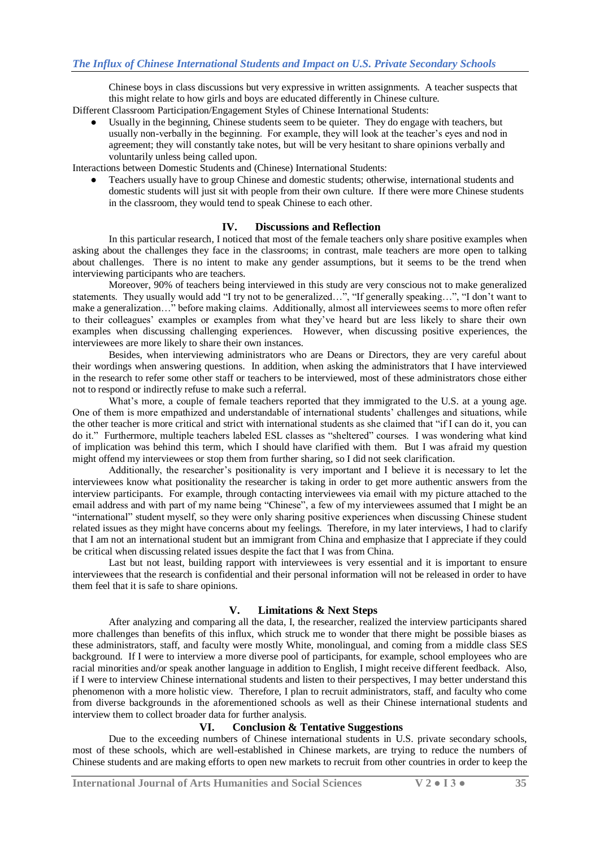Chinese boys in class discussions but very expressive in written assignments. A teacher suspects that this might relate to how girls and boys are educated differently in Chinese culture.

Different Classroom Participation/Engagement Styles of Chinese International Students:

Usually in the beginning, Chinese students seem to be quieter. They do engage with teachers, but usually non-verbally in the beginning. For example, they will look at the teacher's eyes and nod in agreement; they will constantly take notes, but will be very hesitant to share opinions verbally and voluntarily unless being called upon.

Interactions between Domestic Students and (Chinese) International Students:

Teachers usually have to group Chinese and domestic students; otherwise, international students and domestic students will just sit with people from their own culture. If there were more Chinese students in the classroom, they would tend to speak Chinese to each other.

#### **IV. Discussions and Reflection**

In this particular research, I noticed that most of the female teachers only share positive examples when asking about the challenges they face in the classrooms; in contrast, male teachers are more open to talking about challenges. There is no intent to make any gender assumptions, but it seems to be the trend when interviewing participants who are teachers.

Moreover, 90% of teachers being interviewed in this study are very conscious not to make generalized statements. They usually would add "I try not to be generalized…", "If generally speaking…", "I don't want to make a generalization…" before making claims. Additionally, almost all interviewees seems to more often refer to their colleagues' examples or examples from what they've heard but are less likely to share their own examples when discussing challenging experiences. However, when discussing positive experiences, the interviewees are more likely to share their own instances.

Besides, when interviewing administrators who are Deans or Directors, they are very careful about their wordings when answering questions. In addition, when asking the administrators that I have interviewed in the research to refer some other staff or teachers to be interviewed, most of these administrators chose either not to respond or indirectly refuse to make such a referral.

What's more, a couple of female teachers reported that they immigrated to the U.S. at a young age. One of them is more empathized and understandable of international students' challenges and situations, while the other teacher is more critical and strict with international students as she claimed that "if I can do it, you can do it." Furthermore, multiple teachers labeled ESL classes as "sheltered" courses. I was wondering what kind of implication was behind this term, which I should have clarified with them. But I was afraid my question might offend my interviewees or stop them from further sharing, so I did not seek clarification.

Additionally, the researcher's positionality is very important and I believe it is necessary to let the interviewees know what positionality the researcher is taking in order to get more authentic answers from the interview participants. For example, through contacting interviewees via email with my picture attached to the email address and with part of my name being "Chinese", a few of my interviewees assumed that I might be an "international" student myself, so they were only sharing positive experiences when discussing Chinese student related issues as they might have concerns about my feelings. Therefore, in my later interviews, I had to clarify that I am not an international student but an immigrant from China and emphasize that I appreciate if they could be critical when discussing related issues despite the fact that I was from China.

Last but not least, building rapport with interviewees is very essential and it is important to ensure interviewees that the research is confidential and their personal information will not be released in order to have them feel that it is safe to share opinions.

#### **V. Limitations & Next Steps**

After analyzing and comparing all the data, I, the researcher, realized the interview participants shared more challenges than benefits of this influx, which struck me to wonder that there might be possible biases as these administrators, staff, and faculty were mostly White, monolingual, and coming from a middle class SES background. If I were to interview a more diverse pool of participants, for example, school employees who are racial minorities and/or speak another language in addition to English, I might receive different feedback. Also, if I were to interview Chinese international students and listen to their perspectives, I may better understand this phenomenon with a more holistic view. Therefore, I plan to recruit administrators, staff, and faculty who come from diverse backgrounds in the aforementioned schools as well as their Chinese international students and interview them to collect broader data for further analysis.

#### **VI. Conclusion & Tentative Suggestions**

Due to the exceeding numbers of Chinese international students in U.S. private secondary schools, most of these schools, which are well-established in Chinese markets, are trying to reduce the numbers of Chinese students and are making efforts to open new markets to recruit from other countries in order to keep the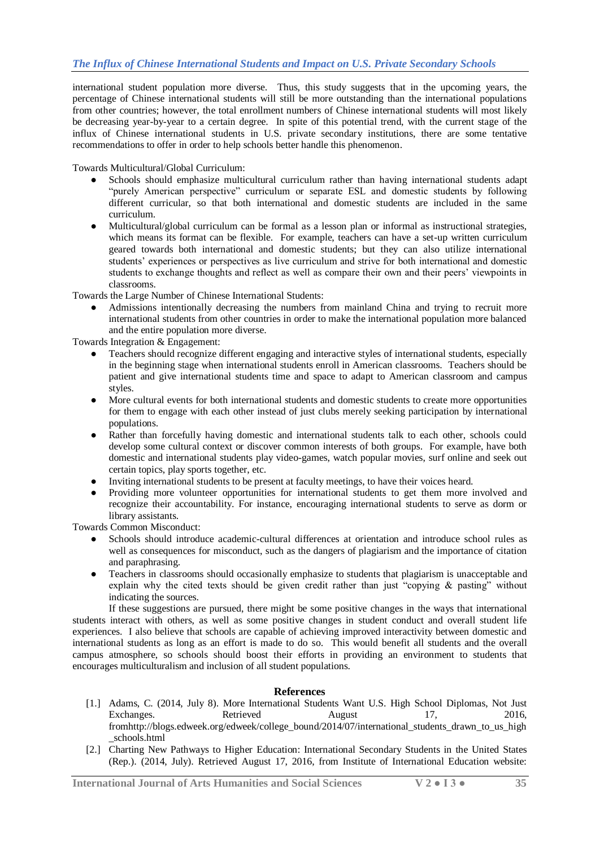international student population more diverse. Thus, this study suggests that in the upcoming years, the percentage of Chinese international students will still be more outstanding than the international populations from other countries; however, the total enrollment numbers of Chinese international students will most likely be decreasing year-by-year to a certain degree. In spite of this potential trend, with the current stage of the influx of Chinese international students in U.S. private secondary institutions, there are some tentative recommendations to offer in order to help schools better handle this phenomenon.

Towards Multicultural/Global Curriculum:

- Schools should emphasize multicultural curriculum rather than having international students adapt "purely American perspective" curriculum or separate ESL and domestic students by following different curricular, so that both international and domestic students are included in the same curriculum.
- Multicultural/global curriculum can be formal as a lesson plan or informal as instructional strategies, which means its format can be flexible. For example, teachers can have a set-up written curriculum geared towards both international and domestic students; but they can also utilize international students' experiences or perspectives as live curriculum and strive for both international and domestic students to exchange thoughts and reflect as well as compare their own and their peers' viewpoints in classrooms.

Towards the Large Number of Chinese International Students:

Admissions intentionally decreasing the numbers from mainland China and trying to recruit more international students from other countries in order to make the international population more balanced and the entire population more diverse.

Towards Integration & Engagement:

- Teachers should recognize different engaging and interactive styles of international students, especially in the beginning stage when international students enroll in American classrooms. Teachers should be patient and give international students time and space to adapt to American classroom and campus styles.
- More cultural events for both international students and domestic students to create more opportunities for them to engage with each other instead of just clubs merely seeking participation by international populations.
- Rather than forcefully having domestic and international students talk to each other, schools could develop some cultural context or discover common interests of both groups. For example, have both domestic and international students play video-games, watch popular movies, surf online and seek out certain topics, play sports together, etc.
- Inviting international students to be present at faculty meetings, to have their voices heard.
- Providing more volunteer opportunities for international students to get them more involved and recognize their accountability. For instance, encouraging international students to serve as dorm or library assistants.

Towards Common Misconduct:

- Schools should introduce academic-cultural differences at orientation and introduce school rules as well as consequences for misconduct, such as the dangers of plagiarism and the importance of citation and paraphrasing.
- Teachers in classrooms should occasionally emphasize to students that plagiarism is unacceptable and explain why the cited texts should be given credit rather than just "copying  $\&$  pasting" without indicating the sources.

If these suggestions are pursued, there might be some positive changes in the ways that international students interact with others, as well as some positive changes in student conduct and overall student life experiences. I also believe that schools are capable of achieving improved interactivity between domestic and international students as long as an effort is made to do so. This would benefit all students and the overall campus atmosphere, so schools should boost their efforts in providing an environment to students that encourages multiculturalism and inclusion of all student populations.

## **References**

- [1.] Adams, C. (2014, July 8). More International Students Want U.S. High School Diplomas, Not Just Exchanges. Retrieved August 17, 2016, fromhttp://blogs.edweek.org/edweek/college\_bound/2014/07/international\_students\_drawn\_to\_us\_high \_schools.html
- [2.] Charting New Pathways to Higher Education: International Secondary Students in the United States (Rep.). (2014, July). Retrieved August 17, 2016, from Institute of International Education website: